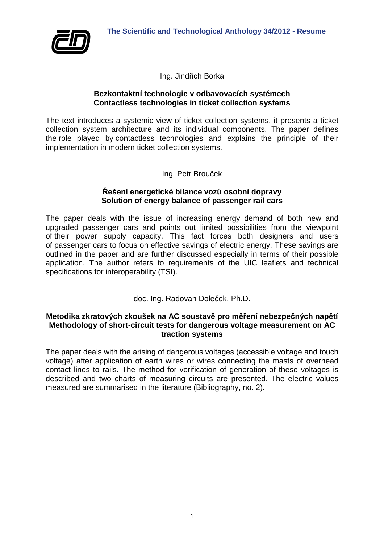

Ing. Jindřich Borka

## **Bezkontaktní technologie v odbavovacích systémech Contactless technologies in ticket collection systems**

The text introduces a systemic view of ticket collection systems, it presents a ticket collection system architecture and its individual components. The paper defines the role played by contactless technologies and explains the principle of their implementation in modern ticket collection systems.

Ing. Petr Brouček

## **Řešení energetické bilance vozů osobní dopravy Solution of energy balance of passenger rail cars**

The paper deals with the issue of increasing energy demand of both new and upgraded passenger cars and points out limited possibilities from the viewpoint of their power supply capacity. This fact forces both designers and users of passenger cars to focus on effective savings of electric energy. These savings are outlined in the paper and are further discussed especially in terms of their possible application. The author refers to requirements of the UIC leaflets and technical specifications for interoperability (TSI).

doc. Ing. Radovan Doleček, Ph.D.

# **Metodika zkratových zkoušek na AC soustavě pro měření nebezpečných napětí Methodology of short-circuit tests for dangerous voltage measurement on AC traction systems**

The paper deals with the arising of dangerous voltages (accessible voltage and touch voltage) after application of earth wires or wires connecting the masts of overhead contact lines to rails. The method for verification of generation of these voltages is described and two charts of measuring circuits are presented. The electric values measured are summarised in the literature (Bibliography, no. 2).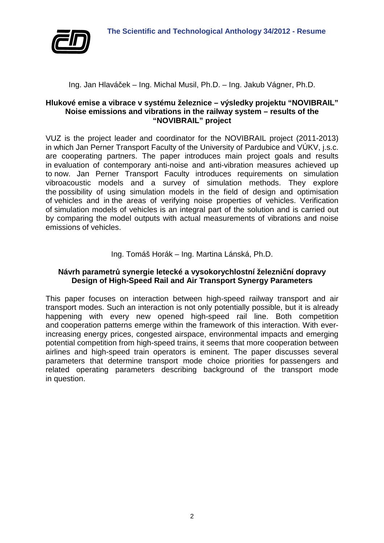

## Ing. Jan Hlaváček – Ing. Michal Musil, Ph.D. – Ing. Jakub Vágner, Ph.D.

## **Hlukové emise a vibrace v systému železnice – výsledky projektu "NOVIBRAIL" Noise emissions and vibrations in the railway system – results of the "NOVIBRAIL" project**

VUZ is the project leader and coordinator for the NOVIBRAIL project (2011-2013) in which Jan Perner Transport Faculty of the University of Pardubice and VÚKV, j.s.c. are cooperating partners. The paper introduces main project goals and results in evaluation of contemporary anti-noise and anti-vibration measures achieved up to now. Jan Perner Transport Faculty introduces requirements on simulation vibroacoustic models and a survey of simulation methods. They explore the possibility of using simulation models in the field of design and optimisation of vehicles and in the areas of verifying noise properties of vehicles. Verification of simulation models of vehicles is an integral part of the solution and is carried out by comparing the model outputs with actual measurements of vibrations and noise emissions of vehicles.

# Ing. Tomáš Horák – Ing. Martina Lánská, Ph.D.

# **Návrh parametrů synergie letecké a vysokorychlostní železniční dopravy Design of High-Speed Rail and Air Transport Synergy Parameters**

This paper focuses on interaction between high-speed railway transport and air transport modes. Such an interaction is not only potentially possible, but it is already happening with every new opened high-speed rail line. Both competition and cooperation patterns emerge within the framework of this interaction. With everincreasing energy prices, congested airspace, environmental impacts and emerging potential competition from high-speed trains, it seems that more cooperation between airlines and high-speed train operators is eminent. The paper discusses several parameters that determine transport mode choice priorities for passengers and related operating parameters describing background of the transport mode in question.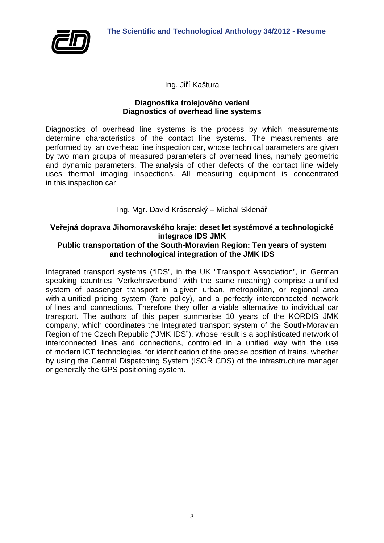

Ing. Jiří Kaštura

## **Diagnostika trolejového vedení Diagnostics of overhead line systems**

Diagnostics of overhead line systems is the process by which measurements determine characteristics of the contact line systems. The measurements are performed by an overhead line inspection car, whose technical parameters are given by two main groups of measured parameters of overhead lines, namely geometric and dynamic parameters. The analysis of other defects of the contact line widely uses thermal imaging inspections. All measuring equipment is concentrated in this inspection car.

Ing. Mgr. David Krásenský – Michal Sklenář

# **Veřejná doprava Jihomoravského kraje: deset let systémové a technologické integrace IDS JMK**

# **Public transportation of the South-Moravian Region: Ten years of system and technological integration of the JMK IDS**

Integrated transport systems ("IDS", in the UK "Transport Association", in German speaking countries "Verkehrsverbund" with the same meaning) comprise a unified system of passenger transport in a given urban, metropolitan, or regional area with a unified pricing system (fare policy), and a perfectly interconnected network of lines and connections. Therefore they offer a viable alternative to individual car transport. The authors of this paper summarise 10 years of the KORDIS JMK company, which coordinates the Integrated transport system of the South-Moravian Region of the Czech Republic ("JMK IDS"), whose result is a sophisticated network of interconnected lines and connections, controlled in a unified way with the use of modern ICT technologies, for identification of the precise position of trains, whether by using the Central Dispatching System (ISOŘ CDS) of the infrastructure manager or generally the GPS positioning system.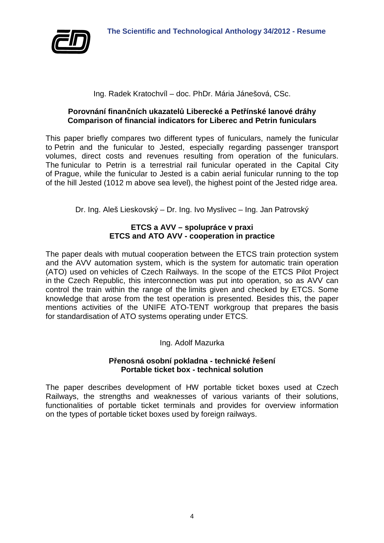

# Ing. Radek Kratochvíl – doc. PhDr. Mária Jánešová, CSc.

# **Porovnání finančních ukazatelů Liberecké a Petřínské lanové dráhy Comparison of financial indicators for Liberec and Petrin funiculars**

This paper briefly compares two different types of funiculars, namely the funicular to Petrin and the funicular to Jested, especially regarding passenger transport volumes, direct costs and revenues resulting from operation of the funiculars. The funicular to Petrin is a terrestrial rail funicular operated in the Capital City of Prague, while the funicular to Jested is a cabin aerial funicular running to the top of the hill Jested (1012 m above sea level), the highest point of the Jested ridge area.

Dr. Ing. Aleš Lieskovský – Dr. Ing. Ivo Myslivec – Ing. Jan Patrovský

# **ETCS a AVV – spolupráce v praxi ETCS and ATO AVV - cooperation in practice**

The paper deals with mutual cooperation between the ETCS train protection system and the AVV automation system, which is the system for automatic train operation (ATO) used on vehicles of Czech Railways. In the scope of the ETCS Pilot Project in the Czech Republic, this interconnection was put into operation, so as AVV can control the train within the range of the limits given and checked by ETCS. Some knowledge that arose from the test operation is presented. Besides this, the paper mentions activities of the UNIFE ATO-TENT workgroup that prepares the basis for standardisation of ATO systems operating under ETCS.

Ing. Adolf Mazurka

## **Přenosná osobní pokladna - technické řešení Portable ticket box - technical solution**

The paper describes development of HW portable ticket boxes used at Czech Railways, the strengths and weaknesses of various variants of their solutions, functionalities of portable ticket terminals and provides for overview information on the types of portable ticket boxes used by foreign railways.